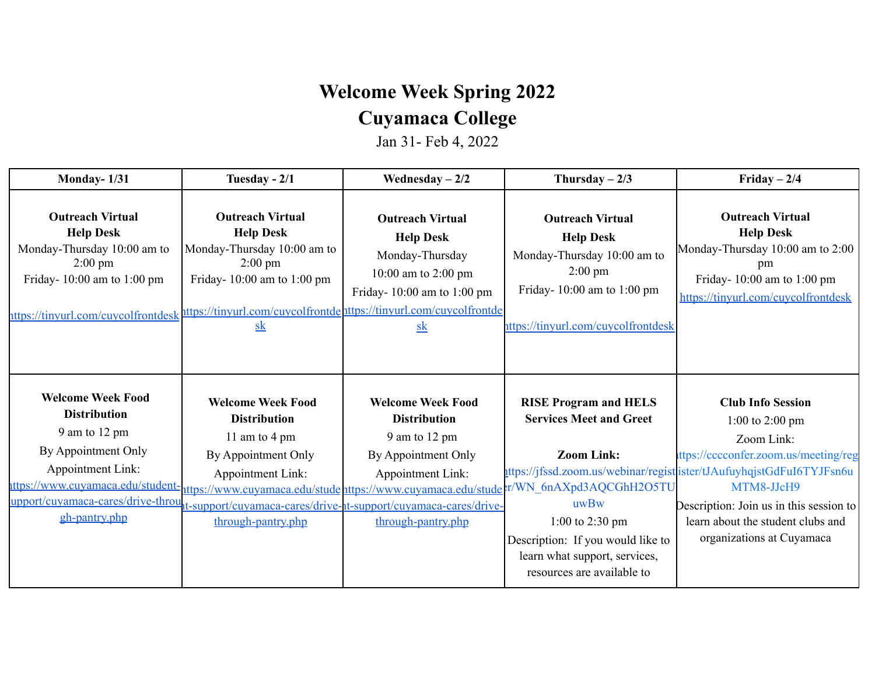## **Welcome Week Spring 2022**

## **Cuyamaca College**

Jan 31- Feb 4, 2022

| Monday- $1/31$                                                                                                                                                       | Tuesday - $2/1$                                                                                                                                                                                     | Wednesday $-2/2$                                                                                                    | Thursday $-2/3$                                                                                                               | Friday $-2/4$                                                                                                                                                          |
|----------------------------------------------------------------------------------------------------------------------------------------------------------------------|-----------------------------------------------------------------------------------------------------------------------------------------------------------------------------------------------------|---------------------------------------------------------------------------------------------------------------------|-------------------------------------------------------------------------------------------------------------------------------|------------------------------------------------------------------------------------------------------------------------------------------------------------------------|
| <b>Outreach Virtual</b><br><b>Help Desk</b><br>Monday-Thursday 10:00 am to<br>$2:00 \text{ pm}$<br>Friday-10:00 am to 1:00 pm<br>nttps://tinyurl.com/cuycolfrontdesk | <b>Outreach Virtual</b><br><b>Help Desk</b><br>Monday-Thursday 10:00 am to<br>$2:00 \text{ pm}$<br>Friday-10:00 am to 1:00 pm<br>https://tinyurl.com/cuycolfrontdehttps://tinyurl.com/cuycolfrontde | <b>Outreach Virtual</b><br><b>Help Desk</b><br>Monday-Thursday<br>10:00 am to 2:00 pm<br>Friday-10:00 am to 1:00 pm | <b>Outreach Virtual</b><br><b>Help Desk</b><br>Monday-Thursday 10:00 am to<br>$2:00 \text{ pm}$<br>Friday-10:00 am to 1:00 pm | <b>Outreach Virtual</b><br><b>Help Desk</b><br>Monday-Thursday 10:00 am to 2:00<br>pm<br>Friday-10:00 am to 1:00 pm<br>https://tinyurl.com/cuycolfrontdesk             |
|                                                                                                                                                                      | $s$ <sub>k</sub>                                                                                                                                                                                    | $s$ <sub>k</sub>                                                                                                    | ittps://tinyurl.com/cuycolfrontdesk                                                                                           |                                                                                                                                                                        |
| <b>Welcome Week Food</b><br><b>Distribution</b><br>9 am to 12 pm                                                                                                     | <b>Welcome Week Food</b><br><b>Distribution</b><br>11 am to 4 pm                                                                                                                                    | <b>Welcome Week Food</b><br><b>Distribution</b><br>9 am to 12 pm                                                    | <b>RISE Program and HELS</b><br><b>Services Meet and Greet</b>                                                                | <b>Club Info Session</b><br>1:00 to 2:00 pm<br>Zoom Link:                                                                                                              |
| By Appointment Only<br>Appointment Link:<br>ttps://www.cuyamaca.edu/student-<br>upport/cuyamaca-cares/drive-throu                                                    | By Appointment Only<br>Appointment Link:<br>https://www.cuyamaca.edu/stude https://www.cuyamaca.edu/stude<br>1t-support/cuyamaca-cares/drive-1t-support/cuyamaca-cares/drive-                       | By Appointment Only<br>Appointment Link:                                                                            | <b>Zoom Link:</b><br>:r/WN 6nAXpd3AQCGhH2O5TU<br>uwBw                                                                         | ttps://cccconfer.zoom.us/meeting/reg<br>uttps://jfssd.zoom.us/webinar/regist ister/tJAufuyhqjstGdFuI6TYJFsn6u<br>MTM8-JJcH9<br>Description: Join us in this session to |
| gh-pantry.php                                                                                                                                                        | through-pantry.php                                                                                                                                                                                  | through-pantry.php                                                                                                  | 1:00 to 2:30 pm<br>Description: If you would like to<br>learn what support, services,<br>resources are available to           | learn about the student clubs and<br>organizations at Cuyamaca                                                                                                         |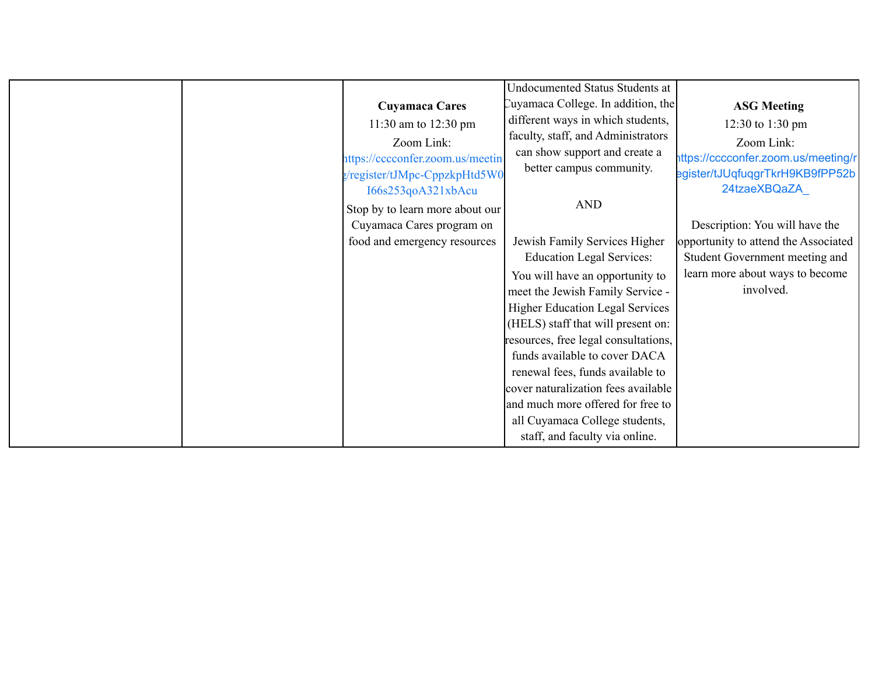|  |                                  | <b>Undocumented Status Students at</b> |                                      |
|--|----------------------------------|----------------------------------------|--------------------------------------|
|  | <b>Cuyamaca Cares</b>            | Cuyamaca College. In addition, the     | <b>ASG Meeting</b>                   |
|  | 11:30 am to 12:30 pm             | different ways in which students,      | 12:30 to 1:30 pm                     |
|  | Zoom Link:                       | faculty, staff, and Administrators     | Zoom Link:                           |
|  | nttps://cccconfer.zoom.us/meetin | can show support and create a          | https://cccconfer.zoom.us/meeting/r  |
|  | g/register/tJMpc-CppzkpHtd5W0    | better campus community.               | egister/tJUqfuqgrTkrH9KB9fPP52b      |
|  | I66s253qoA321xbAcu               |                                        | 24tzaeXBQaZA                         |
|  | Stop by to learn more about our  | <b>AND</b>                             |                                      |
|  | Cuyamaca Cares program on        |                                        | Description: You will have the       |
|  | food and emergency resources     | Jewish Family Services Higher          | opportunity to attend the Associated |
|  |                                  | <b>Education Legal Services:</b>       | Student Government meeting and       |
|  |                                  | You will have an opportunity to        | learn more about ways to become      |
|  |                                  | meet the Jewish Family Service -       | involved.                            |
|  |                                  | <b>Higher Education Legal Services</b> |                                      |
|  |                                  | (HELS) staff that will present on:     |                                      |
|  |                                  | resources, free legal consultations,   |                                      |
|  |                                  | funds available to cover DACA          |                                      |
|  |                                  | renewal fees, funds available to       |                                      |
|  |                                  | cover naturalization fees available    |                                      |
|  |                                  | and much more offered for free to      |                                      |
|  |                                  | all Cuyamaca College students,         |                                      |
|  |                                  | staff, and faculty via online.         |                                      |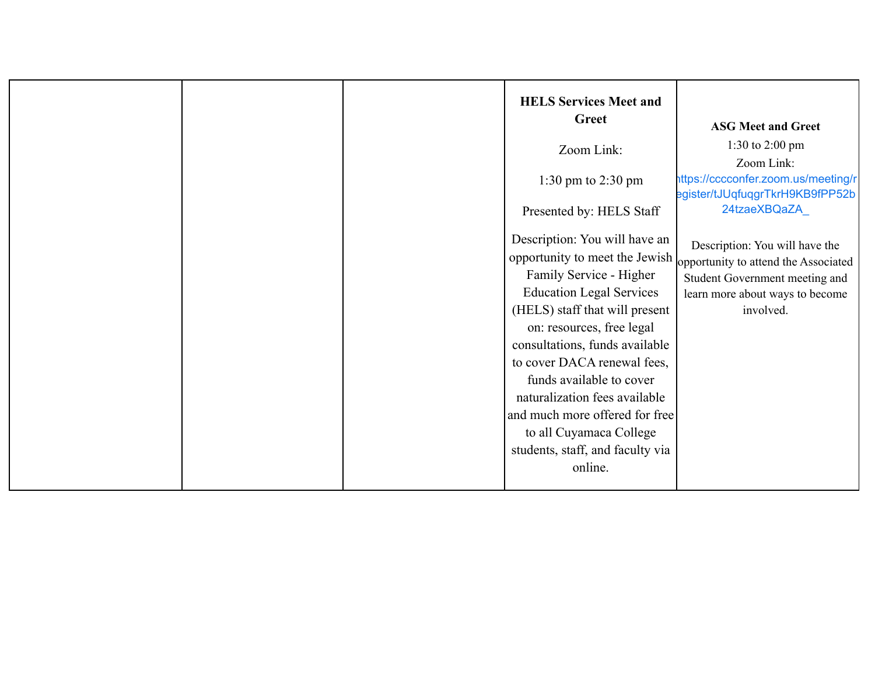| <b>HELS Services Meet and</b><br>Greet                                                                                                                                                                                                                                                                                                                                                               | <b>ASG Meet and Greet</b>                                                                                                                                                               |
|------------------------------------------------------------------------------------------------------------------------------------------------------------------------------------------------------------------------------------------------------------------------------------------------------------------------------------------------------------------------------------------------------|-----------------------------------------------------------------------------------------------------------------------------------------------------------------------------------------|
| Zoom Link:                                                                                                                                                                                                                                                                                                                                                                                           | 1:30 to 2:00 pm<br>Zoom Link:                                                                                                                                                           |
| 1:30 pm to 2:30 pm                                                                                                                                                                                                                                                                                                                                                                                   | https://cccconfer.zoom.us/meeting/r<br>egister/tJUqfuqgrTkrH9KB9fPP52b                                                                                                                  |
| Presented by: HELS Staff                                                                                                                                                                                                                                                                                                                                                                             | 24tzaeXBQaZA                                                                                                                                                                            |
| Description: You will have an<br>Family Service - Higher<br><b>Education Legal Services</b><br>(HELS) staff that will present<br>on: resources, free legal<br>consultations, funds available<br>to cover DACA renewal fees,<br>funds available to cover<br>naturalization fees available<br>and much more offered for free<br>to all Cuyamaca College<br>students, staff, and faculty via<br>online. | Description: You will have the<br>opportunity to meet the Jewish opportunity to attend the Associated<br>Student Government meeting and<br>learn more about ways to become<br>involved. |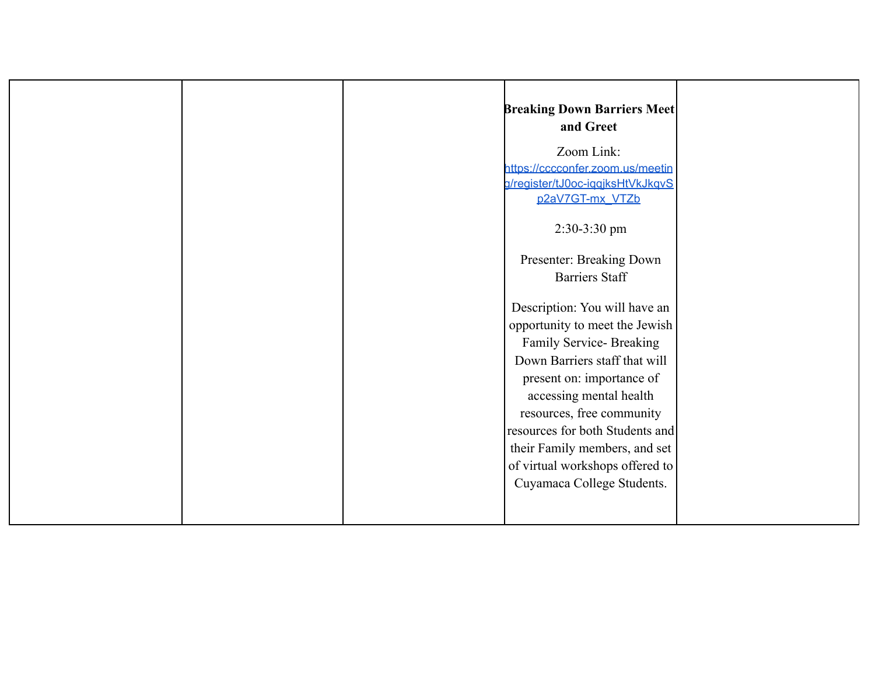| <b>Breaking Down Barriers Meet</b> |  |
|------------------------------------|--|
| and Greet                          |  |
|                                    |  |
| Zoom Link:                         |  |
| https://cccconfer.zoom.us/meetin   |  |
| g/register/tJ0oc-iqqjksHtVkJkqvS   |  |
| p2aV7GT-mx_VTZb                    |  |
| $2:30-3:30$ pm                     |  |
|                                    |  |
| Presenter: Breaking Down           |  |
| <b>Barriers Staff</b>              |  |
|                                    |  |
| Description: You will have an      |  |
| opportunity to meet the Jewish     |  |
| Family Service- Breaking           |  |
| Down Barriers staff that will      |  |
| present on: importance of          |  |
| accessing mental health            |  |
| resources, free community          |  |
| resources for both Students and    |  |
| their Family members, and set      |  |
| of virtual workshops offered to    |  |
| Cuyamaca College Students.         |  |
|                                    |  |
|                                    |  |